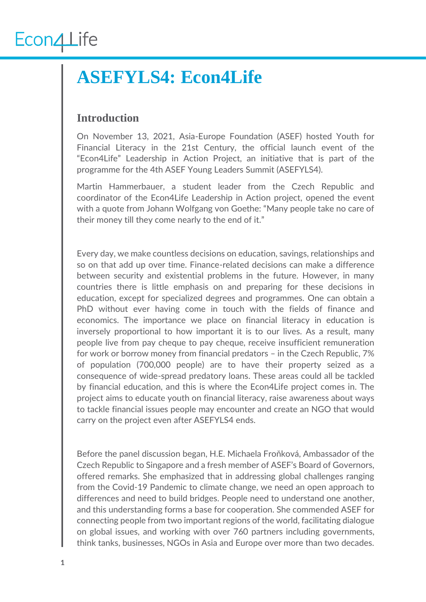#### **ASEFYLS4: Econ4Life**

#### **Introduction**

On November 13, 2021, Asia-Europe Foundation (ASEF) hosted Youth for Financial Literacy in the 21st Century, the official launch event of the "Econ4Life" Leadership in Action Project, an initiative that is part of the programme for the 4th ASEF Young Leaders Summit (ASEFYLS4).

Martin Hammerbauer, a student leader from the Czech Republic and coordinator of the Econ4Life Leadership in Action project, opened the event with a quote from Johann Wolfgang von Goethe: "Many people take no care of their money till they come nearly to the end of it."

Every day, we make countless decisions on education, savings, relationships and so on that add up over time. Finance-related decisions can make a difference between security and existential problems in the future. However, in many countries there is little emphasis on and preparing for these decisions in education, except for specialized degrees and programmes. One can obtain a PhD without ever having come in touch with the fields of finance and economics. The importance we place on financial literacy in education is inversely proportional to how important it is to our lives. As a result, many people live from pay cheque to pay cheque, receive insufficient remuneration for work or borrow money from financial predators – in the Czech Republic, 7% of population (700,000 people) are to have their property seized as a consequence of wide-spread predatory loans. These areas could all be tackled by financial education, and this is where the Econ4Life project comes in. The project aims to educate youth on financial literacy, raise awareness about ways to tackle financial issues people may encounter and create an NGO that would carry on the project even after ASEFYLS4 ends.

Before the panel discussion began, H.E. Michaela Froňková, Ambassador of the Czech Republic to Singapore and a fresh member of ASEF's Board of Governors, offered remarks. She emphasized that in addressing global challenges ranging from the Covid-19 Pandemic to climate change, we need an open approach to differences and need to build bridges. People need to understand one another, and this understanding forms a base for cooperation. She commended ASEF for connecting people from two important regions of the world, facilitating dialogue on global issues, and working with over 760 partners including governments, think tanks, businesses, NGOs in Asia and Europe over more than two decades.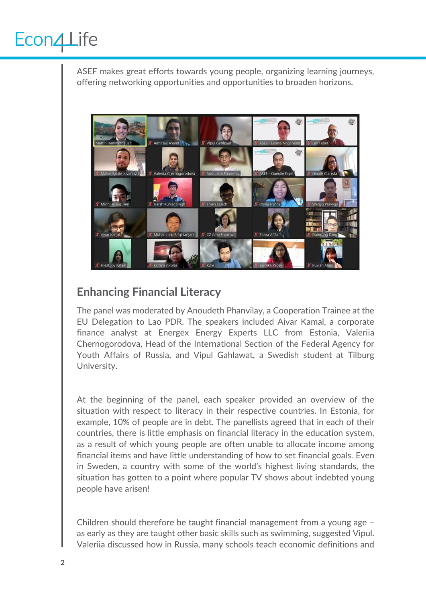ASEF makes great efforts towards young people, organizing learning journeys, offering networking opportunities and opportunities to broaden horizons.



#### **Enhancing Financial Literacy**

The panel was moderated by Anoudeth Phanvilay, a Cooperation Trainee at the EU Delegation to Lao PDR. The speakers included Aivar Kamal, a corporate finance analyst at Energex Energy Experts LLC from Estonia, Valeriia Chernogorodova, Head of the International Section of the Federal Agency for Youth Affairs of Russia, and Vipul Gahlawat, a Swedish student at Tilburg University.

At the beginning of the panel, each speaker provided an overview of the situation with respect to literacy in their respective countries. In Estonia, for example, 10% of people are in debt. The panellists agreed that in each of their countries, there is little emphasis on financial literacy in the education system, as a result of which young people are often unable to allocate income among financial items and have little understanding of how to set financial goals. Even in Sweden, a country with some of the world's highest living standards, the situation has gotten to a point where popular TV shows about indebted young people have arisen!

Children should therefore be taught financial management from a young age – as early as they are taught other basic skills such as swimming, suggested Vipul. Valeriia discussed how in Russia, many schools teach economic definitions and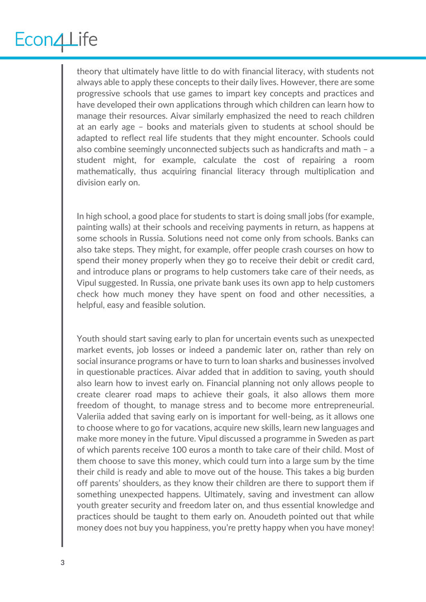theory that ultimately have little to do with financial literacy, with students not always able to apply these concepts to their daily lives. However, there are some progressive schools that use games to impart key concepts and practices and have developed their own applications through which children can learn how to manage their resources. Aivar similarly emphasized the need to reach children at an early age – books and materials given to students at school should be adapted to reflect real life students that they might encounter. Schools could also combine seemingly unconnected subjects such as handicrafts and math – a student might, for example, calculate the cost of repairing a room mathematically, thus acquiring financial literacy through multiplication and division early on.

In high school, a good place for students to start is doing small jobs (for example, painting walls) at their schools and receiving payments in return, as happens at some schools in Russia. Solutions need not come only from schools. Banks can also take steps. They might, for example, offer people crash courses on how to spend their money properly when they go to receive their debit or credit card, and introduce plans or programs to help customers take care of their needs, as Vipul suggested. In Russia, one private bank uses its own app to help customers check how much money they have spent on food and other necessities, a helpful, easy and feasible solution.

Youth should start saving early to plan for uncertain events such as unexpected market events, job losses or indeed a pandemic later on, rather than rely on social insurance programs or have to turn to loan sharks and businesses involved in questionable practices. Aivar added that in addition to saving, youth should also learn how to invest early on. Financial planning not only allows people to create clearer road maps to achieve their goals, it also allows them more freedom of thought, to manage stress and to become more entrepreneurial. Valeriia added that saving early on is important for well-being, as it allows one to choose where to go for vacations, acquire new skills, learn new languages and make more money in the future. Vipul discussed a programme in Sweden as part of which parents receive 100 euros a month to take care of their child. Most of them choose to save this money, which could turn into a large sum by the time their child is ready and able to move out of the house. This takes a big burden off parents' shoulders, as they know their children are there to support them if something unexpected happens. Ultimately, saving and investment can allow youth greater security and freedom later on, and thus essential knowledge and practices should be taught to them early on. Anoudeth pointed out that while money does not buy you happiness, you're pretty happy when you have money!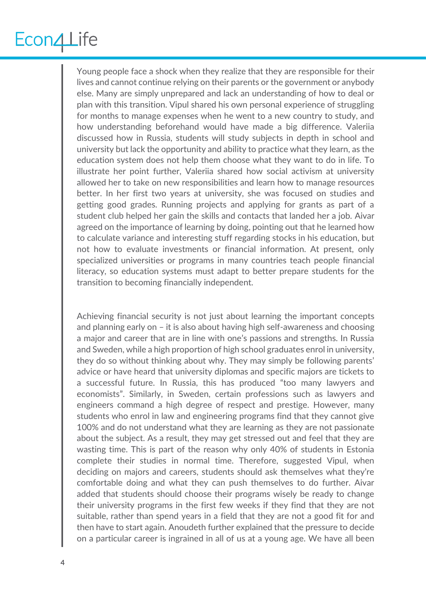Young people face a shock when they realize that they are responsible for their lives and cannot continue relying on their parents or the government or anybody else. Many are simply unprepared and lack an understanding of how to deal or plan with this transition. Vipul shared his own personal experience of struggling for months to manage expenses when he went to a new country to study, and how understanding beforehand would have made a big difference. Valeriia discussed how in Russia, students will study subjects in depth in school and university but lack the opportunity and ability to practice what they learn, as the education system does not help them choose what they want to do in life. To illustrate her point further, Valeriia shared how social activism at university allowed her to take on new responsibilities and learn how to manage resources better. In her first two years at university, she was focused on studies and getting good grades. Running projects and applying for grants as part of a student club helped her gain the skills and contacts that landed her a job. Aivar agreed on the importance of learning by doing, pointing out that he learned how to calculate variance and interesting stuff regarding stocks in his education, but not how to evaluate investments or financial information. At present, only specialized universities or programs in many countries teach people financial literacy, so education systems must adapt to better prepare students for the transition to becoming financially independent.

Achieving financial security is not just about learning the important concepts and planning early on – it is also about having high self-awareness and choosing a major and career that are in line with one's passions and strengths. In Russia and Sweden, while a high proportion of high school graduates enrol in university, they do so without thinking about why. They may simply be following parents' advice or have heard that university diplomas and specific majors are tickets to a successful future. In Russia, this has produced "too many lawyers and economists". Similarly, in Sweden, certain professions such as lawyers and engineers command a high degree of respect and prestige. However, many students who enrol in law and engineering programs find that they cannot give 100% and do not understand what they are learning as they are not passionate about the subject. As a result, they may get stressed out and feel that they are wasting time. This is part of the reason why only 40% of students in Estonia complete their studies in normal time. Therefore, suggested Vipul, when deciding on majors and careers, students should ask themselves what they're comfortable doing and what they can push themselves to do further. Aivar added that students should choose their programs wisely be ready to change their university programs in the first few weeks if they find that they are not suitable, rather than spend years in a field that they are not a good fit for and then have to start again. Anoudeth further explained that the pressure to decide on a particular career is ingrained in all of us at a young age. We have all been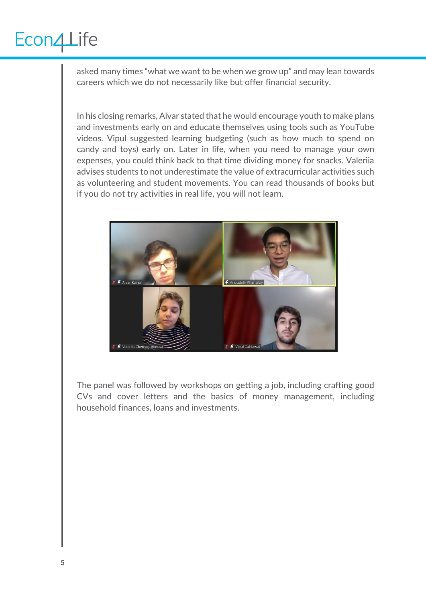asked many times "what we want to be when we grow up" and may lean towards careers which we do not necessarily like but offer financial security.

In his closing remarks, Aivar stated that he would encourage youth to make plans and investments early on and educate themselves using tools such as YouTube videos. Vipul suggested learning budgeting (such as how much to spend on candy and toys) early on. Later in life, when you need to manage your own expenses, you could think back to that time dividing money for snacks. Valeriia advises students to not underestimate the value of extracurricular activities such as volunteering and student movements. You can read thousands of books but if you do not try activities in real life, you will not learn.



The panel was followed by workshops on getting a job, including crafting good CVs and cover letters and the basics of money management, including household finances, loans and investments.